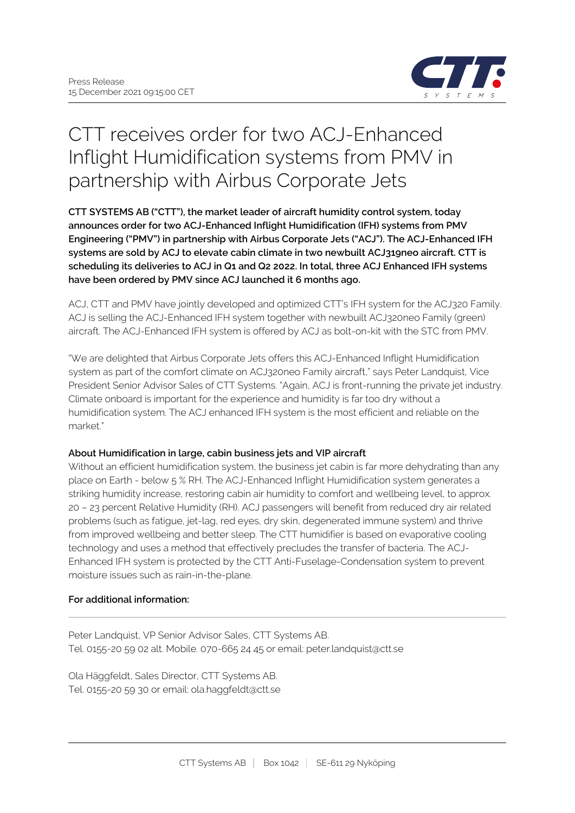

# CTT receives order for two ACJ-Enhanced Inflight Humidification systems from PMV in partnership with Airbus Corporate Jets

**CTT SYSTEMS AB ("CTT"), the market leader of aircraft humidity control system, today announces order for two ACJ-Enhanced Inflight Humidification (IFH) systems from PMV Engineering ("PMV") in partnership with Airbus Corporate Jets ("ACJ"). The ACJ-Enhanced IFH systems are sold by ACJ to elevate cabin climate in two newbuilt ACJ319neo aircraft. CTT is scheduling its deliveries to ACJ in Q1 and Q2 2022. In total, three ACJ Enhanced IFH systems have been ordered by PMV since ACJ launched it 6 months ago.**

ACJ, CTT and PMV have jointly developed and optimized CTT's IFH system for the ACJ320 Family. ACJ is selling the ACJ-Enhanced IFH system together with newbuilt ACJ320neo Family (green) aircraft. The ACJ-Enhanced IFH system is offered by ACJ as bolt-on-kit with the STC from PMV.

"We are delighted that Airbus Corporate Jets offers this ACJ-Enhanced Inflight Humidification system as part of the comfort climate on ACJ320neo Family aircraft," says Peter Landquist, Vice President Senior Advisor Sales of CTT Systems. "Again, ACJ is front-running the private jet industry. Climate onboard is important for the experience and humidity is far too dry without a humidification system. The ACJ enhanced IFH system is the most efficient and reliable on the market."

## **About Humidification in large, cabin business jets and VIP aircraft**

Without an efficient humidification system, the business jet cabin is far more dehydrating than any place on Earth - below 5 % RH. The ACJ-Enhanced Inflight Humidification system generates a striking humidity increase, restoring cabin air humidity to comfort and wellbeing level, to approx. 20 – 23 percent Relative Humidity (RH). ACJ passengers will benefit from reduced dry air related problems (such as fatigue, jet-lag, red eyes, dry skin, degenerated immune system) and thrive from improved wellbeing and better sleep. The CTT humidifier is based on evaporative cooling technology and uses a method that effectively precludes the transfer of bacteria. The ACJ-Enhanced IFH system is protected by the CTT Anti-Fuselage-Condensation system to prevent moisture issues such as rain-in-the-plane.

## **For additional information:**

Peter Landquist, VP Senior Advisor Sales, CTT Systems AB. Tel. 0155-20 59 02 alt. Mobile. 070-665 24 45 or email: peter.landquist@ctt.se

Ola Häggfeldt, Sales Director, CTT Systems AB. Tel. 0155-20 59 30 or email: ola.haggfeldt@ctt.se